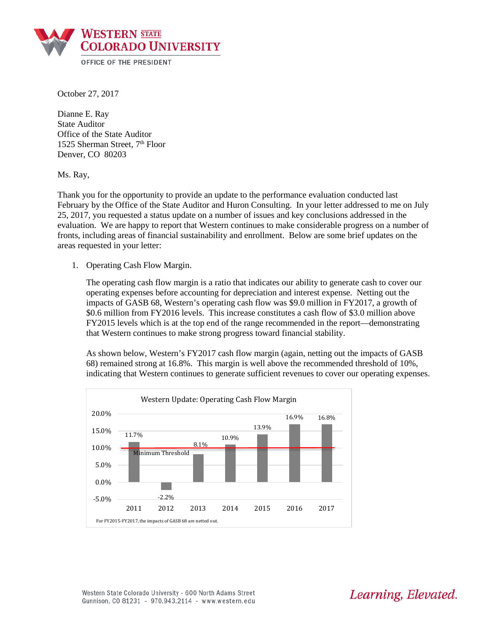

October 27, 2017

Dianne E. Ray State Auditor Office of the State Auditor 1525 Sherman Street, 7<sup>th</sup> Floor Denver, CO 80203

Ms. Ray,

Thank you for the opportunity to provide an update to the performance evaluation conducted last February by the Office of the State Auditor and Huron Consulting. In your letter addressed to me on July 25, 2017, you requested a status update on a number of issues and key conclusions addressed in the evaluation. We are happy to report that Western continues to make considerable progress on a number of fronts, including areas of financial sustainability and enrollment. Below are some brief updates on the areas requested in your letter:

1. Operating Cash Flow Margin.

The operating cash flow margin is a ratio that indicates our ability to generate cash to cover our operating expenses before accounting for depreciation and interest expense. Netting out the impacts of GASB 68, Western's operating cash flow was \$9.0 million in FY2017, a growth of \$0.6 million from FY2016 levels. This increase constitutes a cash flow of \$3.0 million above FY2015 levels which is at the top end of the range recommended in the report—demonstrating that Western continues to make strong progress toward financial stability.

As shown below, Western's FY2017 cash flow margin (again, netting out the impacts of GASB 68) remained strong at 16.8%. This margin is well above the recommended threshold of 10%, indicating that Western continues to generate sufficient revenues to cover our operating expenses.



Western State Colorado University - 600 North Adams Street Gunnison, CO 81231 - 970.943.2114 - www.western.edu Learning, Elevated.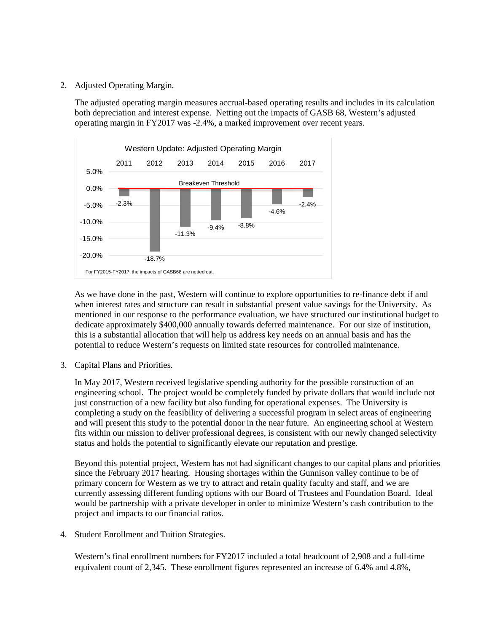2. Adjusted Operating Margin.

The adjusted operating margin measures accrual-based operating results and includes in its calculation both depreciation and interest expense. Netting out the impacts of GASB 68, Western's adjusted operating margin in FY2017 was -2.4%, a marked improvement over recent years.



As we have done in the past, Western will continue to explore opportunities to re-finance debt if and when interest rates and structure can result in substantial present value savings for the University. As mentioned in our response to the performance evaluation, we have structured our institutional budget to dedicate approximately \$400,000 annually towards deferred maintenance. For our size of institution, this is a substantial allocation that will help us address key needs on an annual basis and has the potential to reduce Western's requests on limited state resources for controlled maintenance.

3. Capital Plans and Priorities.

In May 2017, Western received legislative spending authority for the possible construction of an engineering school. The project would be completely funded by private dollars that would include not just construction of a new facility but also funding for operational expenses. The University is completing a study on the feasibility of delivering a successful program in select areas of engineering and will present this study to the potential donor in the near future. An engineering school at Western fits within our mission to deliver professional degrees, is consistent with our newly changed selectivity status and holds the potential to significantly elevate our reputation and prestige.

Beyond this potential project, Western has not had significant changes to our capital plans and priorities since the February 2017 hearing. Housing shortages within the Gunnison valley continue to be of primary concern for Western as we try to attract and retain quality faculty and staff, and we are currently assessing different funding options with our Board of Trustees and Foundation Board. Ideal would be partnership with a private developer in order to minimize Western's cash contribution to the project and impacts to our financial ratios.

4. Student Enrollment and Tuition Strategies.

Western's final enrollment numbers for FY2017 included a total headcount of 2,908 and a full-time equivalent count of 2,345. These enrollment figures represented an increase of 6.4% and 4.8%,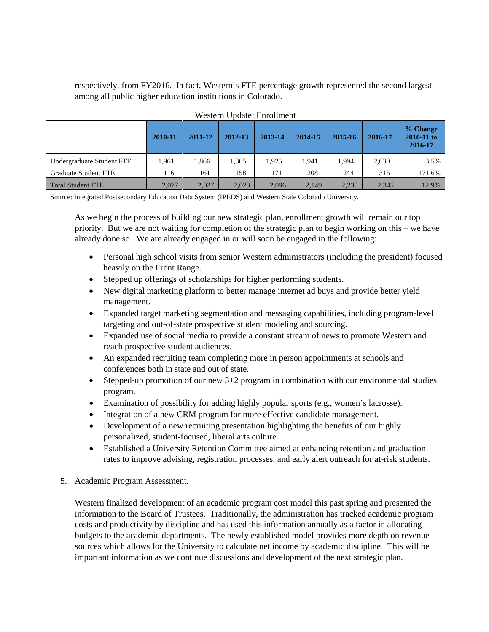respectively, from FY2016. In fact, Western's FTE percentage growth represented the second largest among all public higher education institutions in Colorado.

|                             | 2010-11 | 2011-12 | 2012-13 | 2013-14 | 2014-15 | 2015-16 | 2016-17 | % Change<br>2010-11 to<br>2016-17 |
|-----------------------------|---------|---------|---------|---------|---------|---------|---------|-----------------------------------|
| Undergraduate Student FTE   | 1.961   | .866    | 1.865   | 1.925   | .941    | 1.994   | 2,030   | 3.5%                              |
| <b>Graduate Student FTE</b> | 116     | 161     | 158     | 171     | 208     | 244     | 315     | 171.6%                            |
| <b>Total Student FTE</b>    | 2,077   | 2,027   | 2,023   | 2,096   | 2,149   | 2,238   | 2,345   | 12.9%                             |

## Western Update: Enrollment

Source: Integrated Postsecondary Education Data System (IPEDS) and Western State Colorado University.

As we begin the process of building our new strategic plan, enrollment growth will remain our top priority. But we are not waiting for completion of the strategic plan to begin working on this – we have already done so. We are already engaged in or will soon be engaged in the following:

- Personal high school visits from senior Western administrators (including the president) focused heavily on the Front Range.
- Stepped up offerings of scholarships for higher performing students.
- New digital marketing platform to better manage internet ad buys and provide better yield management.
- Expanded target marketing segmentation and messaging capabilities, including program-level targeting and out-of-state prospective student modeling and sourcing.
- Expanded use of social media to provide a constant stream of news to promote Western and reach prospective student audiences.
- An expanded recruiting team completing more in person appointments at schools and conferences both in state and out of state.
- Stepped-up promotion of our new  $3+2$  program in combination with our environmental studies program.
- Examination of possibility for adding highly popular sports (e.g., women's lacrosse).
- Integration of a new CRM program for more effective candidate management.
- Development of a new recruiting presentation highlighting the benefits of our highly personalized, student-focused, liberal arts culture.
- Established a University Retention Committee aimed at enhancing retention and graduation rates to improve advising, registration processes, and early alert outreach for at-risk students.

## 5. Academic Program Assessment.

Western finalized development of an academic program cost model this past spring and presented the information to the Board of Trustees. Traditionally, the administration has tracked academic program costs and productivity by discipline and has used this information annually as a factor in allocating budgets to the academic departments. The newly established model provides more depth on revenue sources which allows for the University to calculate net income by academic discipline. This will be important information as we continue discussions and development of the next strategic plan.